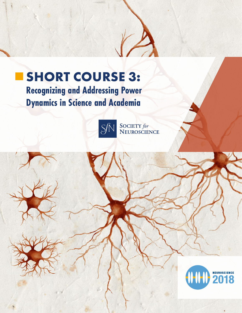

# **SHORT COURSE 3:**

**Recognizing and Addressing Power Dynamics in Science and Academia**



SOCIETY for<br>NEUROSCIENCE

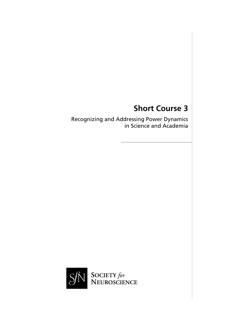## **Short Course 3**

Recognizing and Addressing Power Dynamics in Science and Academia

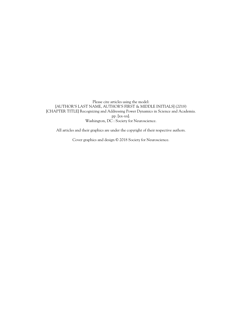Please cite articles using the model: [AUTHOR'S LAST NAME, AUTHOR'S FIRST & MIDDLE INITIALS] (2018) [CHAPTER TITLE] Recognizing and Addressing Power Dynamics in Science and Academia. pp. [xx-xx]. Washington, DC : Society for Neuroscience.

All articles and their graphics are under the copyright of their respective authors.

Cover graphics and design © 2018 Society for Neuroscience.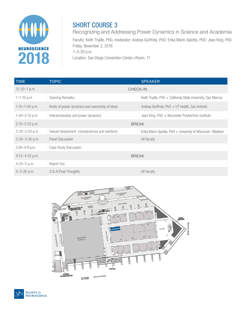

## SHORT COURSE 3

Recognizing and Addressing Power Dynamics in Science and Academia

Faculty: Keith Trujillo, PhD, moderator; Andrea Giuffrida, PhD; Erika Marín-Spiotta, PhD; Jean King, PhD Friday, November 2, 2018 1–5:30 p.m. Location: San Diego Convention Center • Room: 11

| <b>TIME</b>        | <b>TOPIC</b>                                   | <b>SPEAKER</b>                                                |
|--------------------|------------------------------------------------|---------------------------------------------------------------|
| $12:30 - 1$ p.m.   | <b>CHECK-IN</b>                                |                                                               |
| $1 - 1:10$ p.m.    | <b>Opening Remarks</b>                         | Keith Trujillo, PhD • California State University, San Marcos |
| $1:10-1:40$ p.m.   | Kinds of power dynamics and ownership of ideas | Andrea Giuffrida, PhD • UT Health, San Antonio                |
| $1:40 - 2:10$ p.m. | Intersectionality and power dynamics           | Jean King, PhD • Worcester Polytechnic Institute              |
| $2:10-2:20$ p.m.   | <b>BREAK</b>                                   |                                                               |
| $2:20 - 2:50$ p.m. | Sexual harassment: consequences and solutions  | Erika Marín-Spiotta, PhD • University of Wisconsin–Madison    |
| $2:50 - 3:30$ p.m. | Panel Discussion                               | All faculty                                                   |
| $3:30 - 4:15$ p.m. | Case Study Discussion                          |                                                               |
| $4:15-4:25$ p.m.   | <b>BREAK</b>                                   |                                                               |
| $4:25 - 5$ p.m.    | Report Out                                     |                                                               |
| $5 - 5:30$ p.m.    | Q & A/Final Thoughts                           | All faculty                                                   |

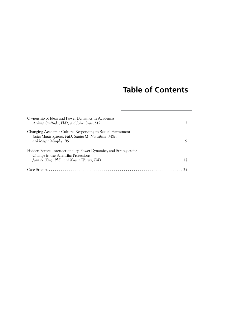## **Table of Contents**

| Ownership of Ideas and Power Dynamics in Academia                                                                  |
|--------------------------------------------------------------------------------------------------------------------|
| Changing Academic Culture: Responding to Sexual Harassment<br>Erika Marín-Spiotta, PhD, Sunita M. Nandihalli, MSc, |
| Hidden Forces: Intersectionality, Power Dynamics, and Strategies for<br>Change in the Scientific Professions       |
|                                                                                                                    |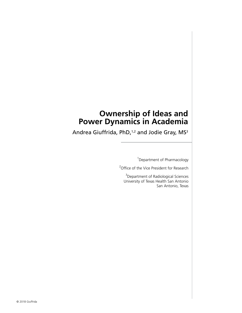## **Ownership of Ideas and Power Dynamics in Academia**

Andrea Giuffrida, PhD,<sup>1,2</sup> and Jodie Gray, MS<sup>3</sup>

<sup>1</sup> Department of Pharmacology

<sup>2</sup> Office of the Vice President for Research

<sup>3</sup>Department of Radiological Sciences University of Texas Health San Antonio San Antonio, Texas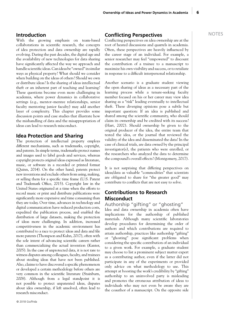With the growing emphasis on team-based collaborations in scientific research, the concepts of idea protection and data ownership are rapidly evolving. During the past decades, the digital age and the availability of new technologies for data sharing have significantly affected the way we approach and handle scientific ideas. Can ideas be "owned" in similar ways as physical property? What should we consider when building on the ideas of others? Should we own or distribute ideas? Is the sharing of ideas intellectual theft or an inherent part of teaching and learning? These questions become even more challenging in academia, where power dynamics in collaborative settings (e.g., mentor–mentee relationships, senior faculty mentoring junior faculty) may add another layer of complexity. This chapter provides some discussion points and case studies that illustrate how the mishandling of data and the misappropriation of ideas can lead to research misconduct.

#### **Idea Protection and Sharing**

The protection of intellectual property employs different mechanisms, such as trademarks, copyright, and patents. In simple terms, trademarks protect names and images used to label goods and services, whereas copyright protects original ideas expressed as literature, music, or software in a recorded or printed format (Quinn, 2014). On the other hand, patents protect new inventions and exclude others from using, making, or selling them for a specific time frame (U.S. Patent and Trademark Office, 2015). Copyright law in the United States originated at a time when the efforts to record music or print and distribute publications were significantly more expensive and time consuming than they are today. Over time, advances in technology and digital communication have reduced production costs, expedited the publication process, and enabled the distribution of large datasets, making the protection of ideas more challenging. In addition, increased competitiveness in the academic environment has contributed to a race to protect ideas and data and file more patents (Thompson and Kuhn, 2017), often with the sole intent of advancing scientific careers rather than commercializing the actual invention (Kanter, 2005). In the case of unprotected data, it is not rare to witness disputes among colleagues, faculty, and trainees about stealing ideas that have not been published. Also, claims to have discovered a specific phenomenon or developed a certain methodology before others are very common in the scientific literature (Stainburn, 2008). Although from a legal standpoint it is not possible to protect unpatented ideas, disputes about idea ownership, if left unsolved, often lead to research misconduct.

### **Introduction Conflicting Perspectives**

Conflicting perspectives on idea ownership are at the root of heated discussions and quarrels in academia. Often, these perspectives are heavily influenced by the career stage of an individual. For example, a senior researcher may feel "empowered" to discount the contribution of a trainee to a manuscript to maximize his own visibility and success, or to retaliate in response to a difficult interpersonal relationship.

Another scenario is a graduate student viewing the open sharing of ideas as a necessary part of the learning process while a tenure-seeking faculty member focused on his or her career may view idea sharing as a "risk" leading eventually to intellectual theft. These diverging opinions pose a subtle but important question: If an idea is published and shared among the scientific community, who should claim its ownership and be credited with its success? (Hart, 2002). Should ownership be given to the original producer of the idea, the entire team that tested the idea, or the journal that reviewed the validity of the idea and disseminated the data? In the case of clinical trials, are data owned by the principal investigator(s), the patients who were enrolled, or the researchers who analyzed the data to determine the compound's overall effects? (Montgomery, 2017).

It is not surprising that differing perspectives on ideas/data as valuable "commodities" that scientists are obligated to share for "the greater good" may contribute to conflicts that are not easy to solve.

### **Contributions to Research Misconduct**

Authorship "gifting" or "ghosting" Idea and data ownership in academia often have implications for the authorship of published materials. Although many scientific laboratories develop procedures for determining the order of authors and which contributions are required to attain authorship, practices like authorship "gifting" or "ghosting" pose significant problems when considering the specific contribution of an individual to a given work. For example, a graduate student may choose to list a prominent subject matter expert as a contributing author, even if the latter did not participate in any of the experiments or provided only advice on what methodology to use. This attempt at boosting the work's credibility by "gifting" authorship to an uninvolved party is misleading and promotes the erroneous attribution of ideas to individuals who may not even be aware they are the coauthor of a manuscript. On the opposite side

6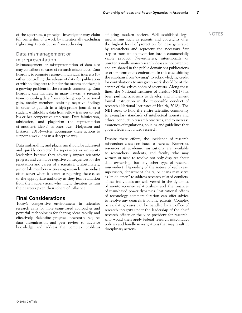of the spectrum, a principal investigator may claim afflicting modern society. Well-established legal NOTES full ownership of a work by intentionally excluding ("ghosting") contributors from authorship.

#### Data mismanagement or misrepresentation

Mismanagement or misrepresentation of data also may contribute to cases of research misconduct. Data hoarding to promote a group or individual interests (by either controlling the release of data for publication or withholding data to hinder the success of others) is a growing problem in the research community. Data hoarding can manifest in many flavors: a research team concealing data from another group for personal gain, faculty members omitting negative findings in order to publish in a high-profile journal, or a student withholding data from fellow trainees to feed his or her competitive ambitions. Data falsification, fabrication, and plagiarism—the representation of another's idea(s) as one's own (Helgesson and Eriksson, 2015)—often accompany these actions to support a weak idea in a deceptive way.

Data mishandling and plagiarism should be addressed and quickly corrected by supervisors or university leadership because they adversely impact scientific progress and can have negative consequences for the reputation and career of a scientist. Unfortunately, junior lab members witnessing research misconduct often waver when it comes to reporting these cases to the appropriate authority as they fear retaliation from their supervisors, who might threaten to ruin their careers given their sphere of influence.

#### **Final Considerations**

Today's competitive environment in scientific research calls for more team-based approaches and powerful technologies for sharing ideas rapidly and effectively. Scientific progress inherently requires data dissemination and peer review to advance knowledge and address the complex problems

afflicting modern society. Well-established legal mechanisms such as patents and copyrights offer the highest level of protection for ideas generated by researchers and represent the necessary first step to translate an invention into a commercially viable product. Nevertheless, intentionally or unintentionally, many research ideas are not patented and are shared in the public domain via publications or other forms of dissemination. In this case, shifting the emphasis from "owning" to acknowledging credit for contributions to any given work should be at the center of the ethics codes of scientists. Along these lines, the National Institutes of Health (NIH) has been pushing academia to develop and implement formal instruction in the responsible conduct of research (National Institutes of Health, 2018). The NIH seeks to hold the entire scientific community to exemplary standards of intellectual honesty and ethical conduct in research practices, and to increase awareness of regulations, policies, and guidelines that govern federally funded research.

Despite these efforts, the incidence of research misconduct cases continues to increase. Numerous resources at academic institutions are available to researchers, students, and faculty who may witness or need to resolve not only disputes about data ownership, but any other type of research misconduct. Depending of the nature of each case, supervisors, department chairs, or deans may serve as "middlemen" to address research-related conflicts. These individuals are well versed in the dynamics of mentor–trainee relationships and the nuances of team-based power dynamics. Institutional offices of technology commercialization can offer advice to resolve any quarrels involving patents. Complex or escalating cases can be handled by an office of research integrity under the leadership of the chief research officer or the vice president for research, who would then apply federal research misconduct policies and handle investigations that may result in disciplinary actions.

7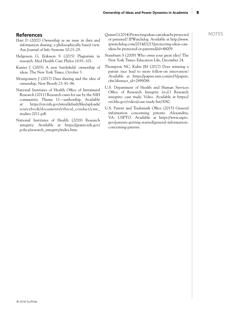- Hart D (2002) Ownership as an issue in data and information sharing: a philosophically based view. Aus Journal of Info Systems 10:23–29.
- Helgesson G, Eriksson S (2015) Plagiarism in research. Med Health Care Philos 18:91–101.
- Kanter J (2005) A new battlefield: ownership of ideas. The New York Times, October 3.
- Montgomery J (2017) Data sharing and the idea of ownership. New Bioeth 23: 81–86.
- National Institutes of Health Office of Intramural Research (2011) Research cases for use by the NIH community. Theme 11—authorship. Available at https://oir.nih.gov/sites/default/files/uploads/ sourcebook/documents/ethical\_conduct/case\_ studies-2011.pdf.
- National Institutes of Health (2018) Research integrity. Available at https://grants.nih.gov/ policy/research\_integrity/index.htm.
- **References** NOTES (2014) Protecting ideas: can ideas be protected NOTES or patented? IPWatchdog. Available at http://www. ipwatchdog.com/2014/02/15/protecting-ideas-canideas-be-protected-or-patented/id=48009.
	- Stainburn S (2008) Who owns your great idea? The New York Times: Education Life, December 24.
	- Thompson NC, Kuhn JM (2017) Does winning a patent race lead to more follow-on innovation? Available at https://papers.ssrn.com/sol3/papers. cfm?abstract\_id=2899088.
	- U.S. Department of Health and Human Services Office of Research Integrity (n.d.) Research integrity: case study. Video. Available at https:// ori.hhs.gov/videos/case-study-list/3042.
	- U.S. Patent and Trademark Office (2015) General information concerning patents. Alexandria, VA: USPTO. Available at https://www.uspto. gov/patents-getting-started/general-informationconcerning-patents.

8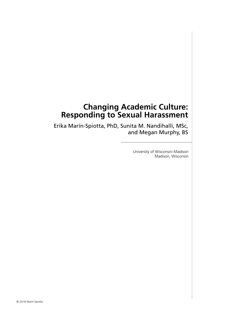## **Changing Academic Culture: Responding to Sexual Harassment**

Erika Marín-Spiotta, PhD, Sunita M. Nandihalli, MSc, and Megan Murphy, BS

> University of Wisconsin–Madison Madison, Wisconsin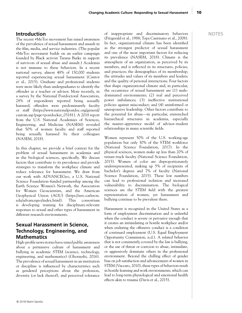#### **Introduction**

The recent #MeToo movement has raised awareness of the prevalence of sexual harassment and assault in the film, media, and service industries. (The popular #MeToo movement builds on an earlier campaign founded by Black activist Tarana Burke in support of survivors of sexual abuse and assault.) Academia is not immune to these behaviors. In a recent national survey, almost 48% of 150,000 students reported experiencing sexual harassment (Cantor et al., 2015). Graduate and professional students were more likely than undergraduates to identify the offender as a teacher or advisor. More recently, in a survey by the National Postdoctoral Association, 28% of respondents reported being sexually harassed; offenders were predominantly faculty or staff (https://www.nationalpostdoc.org/general/ custom.asp?page=postdocket\_03181). A 2018 report from the U.S. National Academies of Sciences, Engineering, and Medicine (NASEM) revealed that 50% of women faculty and staff reported being sexually harassed by their colleagues (NASEM, 2018).

In this chapter, we provide a brief context for the problem of sexual harassment in academia and in the biological sciences, specifically. We discuss factors that contribute to its prevalence and provide strategies to transform the workplace climate and reduce tolerance for harassment. We draw from our work with ADVANCEGeo, a U.S. National Science Foundation–funded partnership among the Earth Science Women's Network, the Association for Women Geoscientists, and the American Geophysical Union (AGU) (https://serc.carleton. edu/advancegeo/index.html). This consortium is developing training for disciplinary-relevant responses to sexual and other types of harassment in different research environments.

### **Sexual Harassment in Science, Technology, Engineering, and Mathematics**

High-profile news stories have raised public awareness about a permissive culture of harassment and bullying in academic STEM (science, technology, engineering, and mathematics) (Ghorayshi, 2016). The prevalence of sexual harassment in an institution or discipline is influenced by characteristics such as gendered perceptions about the profession, diversity (or lack thereof), and perceived tolerance of inappropriate and discriminatory behaviors (Fitzgerald et al., 1988; Topa Cantisano et al., 2008). In fact, organizational climate has been identified as the strongest predictor of sexual harassment and one of the most important factors for reducing its prevalence (NASEM, 2018). Climate is the atmosphere of an organization, as perceived by its members, and is reflected in its structures, policies, and practices; the demographics of its membership; the attitudes and values of its members and leaders; and the quality of personal interactions. Four factors that shape organizational climate and, in particular, the occurrence of sexual harassment are (1) maledominated environments; (2) real and perceived power imbalances; (3) ineffective institutional policies against misconduct; and (4) uninformed or unresponsive leadership. Other factors contribute to the potential for abuse—in particular, entrenched hierarchical structures in academia, especially the master–apprentice model of advisor–student relationships in many scientific fields.

Women represent 50% of the U.S. working-age population but only 30% of the STEM workforce (National Science Foundation, 2017). In the physical sciences, women make up less than 20% of tenure-track faculty (National Science Foundation, 2015). Women of color are disproportionately underrepresented, making up 5% of recipients of bachelor's degrees and 7% of faculty (National Science Foundation, 2015). These low numbers can lead to professional isolation and increased vulnerability to discrimination. The biological sciences are the STEM field with the greatest representation of women, yet harassment and bullying continue to be prevalent there.

Harassment is recognized in the United States as a form of employment discrimination and is unlawful when the conduct is severe or pervasive enough that it creates an intimidating or hostile workplace and/or when enduring the offensive conduct is a condition of continued employment (U.S. Equal Employment Opportunity Commission, n.d.). A related behavior that is not consistently covered by the law is bullying, or the use of threat or coercion to abuse, intimidate, or aggressively dominate others in the professional environment. Beyond the chilling effect of gender bias on job satisfaction and advancement of women in STEM (Vaccaro, 2010), these types of behaviors result in hostile learning and work environments, which can lead to long-term physiological and emotional health effects akin to trauma (Davis et al., 2015).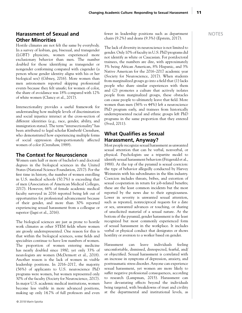#### **Harassment of Sexual and Other Minorities**

Hostile climates are not felt the same by everybody. In a survey of lesbian, gay, bisexual, and transgender (LGBT) physicists, women experienced more exclusionary behavior than men. The number doubled for those identifying as transgender or nongender conforming compared with cisgender (a person whose gender identity aligns with his or her biological sex) (Gibney, 2016). More women than men astronomers reported skipping professional events because they felt unsafe; for women of color, the share of avoidance was 18% compared with 12% of white women (Clancy et al., 2017).

Intersectionality provides a useful framework for understanding how multiple levels of discrimination and social injustice interact at the cross-section of different identities (e.g., race, gender, ability, and immigration status). The term "intersectionality" has been attributed to legal scholar Kimberlé Crenshaw, who demonstrated how experiencing multiple forms of social oppression disproportionately affected women of color (Crenshaw, 1989).

#### **The Context for Neuroscience**

Women earn half or more of bachelor's and doctoral degrees in the biological sciences in the United States (National Science Foundation, 2017). For the first time in history, the number of women enrolling in U.S. medical schools (50.7%) is exceeding that of men (Association of American Medical Colleges, 2017). However, 66% of female academic medical faculty surveyed in 2016 reported being left out of opportunities for professional advancement because of their gender, and more than 30% reported experiencing sexual harassment from a colleague or superior (Jagsi et al., 2016).

The biological sciences are just as prone to hostile work climates as other STEM fields where women are grossly underrepresented. One reason for this is that within the biological sciences, some fields and specialties continue to have low numbers of women. The proportion of women entering medicine has nearly doubled since 1980, yet only 33% of neurologists are women (McDermott et al., 2018). Another reason is the lack of women in visible leadership positions. In 2016–2017, the majority (56%) of applicants to U.S. neuroscience PhD programs were women, but women represented only 30% of the faculty (Society for Neuroscience, 2017). In major U.S. academic medical institutions, women become less visible in more advanced positions, making up only 14.7% of full professors and even fewer in leadership positions such as department chairs (9.2%) and deans (9.3%) (Epstein, 2017).

The lack of diversity in neuroscience is not limited to gender. Only 10% of faculty in U.S. PhD programs did not identify as white or Caucasian. For postdoctoral trainees, the numbers are dire, with approximately 3% being African American, 8% Hispanic, and 3% Native American for the 2016–2017 academic year (Society for Neuroscience, 2017). When students from marginalized groups go into a field that (1) lacks people who share similar experiences with them and (2) promotes a culture that actively isolates people from marginalized groups, these obstacles can cause people to ultimately leave that field. More women than men (56% vs 44%) left a neuroscience PhD program early, and trainees from historically underrepresented racial and ethnic groups left PhD programs in the same proportion that they entered (Sved, 2011).

#### **What Qualifies as Sexual Harassment, Anyway?**

Most people recognize sexual harassment as unwanted sexual attention that can be verbal, nonverbal, or physical. Psychologists use a tripartite model to identify sexual harassment behaviors (Fitzgerald et al., 1988). At the top of the pyramid is sexual coercion: the type of behavior allegedly conducted by Harvey Weinstein with his subordinates in the film industry. Coercion includes threats, bribes, and extortion of sexual cooperation in return for job-related benefits; these are the least common incidents but the most reported by the news due to their egregiousness. Lower in severity is unwanted sexual attention, such as repeated, nonreciprocal requests for a date or sex, unwanted advances or touching, or sharing of unsolicited material of a sexual nature. At the bottom of the pyramid, gender harassment is the least recognized but most commonly experienced form of sexual harassment in the workplace. It includes verbal or physical conduct that denigrates or shows hostility or aversion to a worker based on gender.

Harassment can leave individuals feeling uncomfortable, dismissed, disrespected, fearful, and/ or objectified. Sexual harassment is correlated with an increase in symptoms of depression, anxiety, and posttraumatic stress disorder. Anyone can experience sexual harassment, yet women are more likely to suffer negative professional consequences, according to research (Lampman, 2015). Harassment can have devastating effects beyond the individuals being targeted, with breakdowns of trust and civility at the departmental and institutional levels, as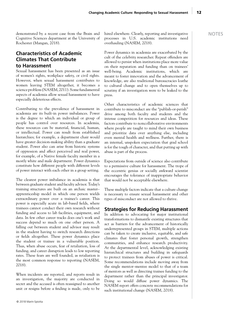demonstrated by a recent case from the Brain and Cognitive Sciences department at the University of Rochester (Mangan, 2018).

#### **Characteristics of Academic Climates That Contribute to Harassment**

Sexual harassment has been presented as an issue of women's rights, workplace safety, or civil rights. However, when sexual harassment contributes to women leaving STEM altogether, it becomes a science problem (NASEM, 2011). Some fundamental aspects of academia allow sexual harassment to have especially deleterious effects.

Contributing to the prevalence of harassment in academia are its built-in power imbalances. Power is the degree to which an individual or group of people has control over resources. In academia, these resources can be material, financial, human, or intellectual. Power can result from established hierarchies; for example, a department chair would have greater decision-making ability than a graduate student. Power also can arise from historic systems of oppression and affect perceived and real power, for example, of a Native female faculty member in a mostly white and male department. Power dynamics constitute how different people with different levels of power interact with each other in a group setting.

The clearest power imbalance in academia is that between graduate student and faculty advisor. Today's training structures are built on an archaic master– apprenticeship model in which one person wields extraordinary power over a trainee's career. This power is especially acute in lab-based fields, where trainees cannot conduct their own research without funding and access to lab facilities, equipment, and data. In few other career tracks does one's work and success depend so much on one other person. A falling out between student and advisor may result in the student having to switch research directions or fields altogether. These power dynamics place the student or trainee in a vulnerable position. Thus, when abuse occurs, fear of retaliation, loss of funding, and career disruption leads to low reporting rates. These fears are well founded, as retaliation is the most common response to reporting (NASEM, 2018).

When incidents are reported, and reports result in an investigation, the majority are conducted in secret and the accused is often reassigned to another unit or resigns before a finding is made, only to be hired elsewhere. Clearly, reporting and investigative processes in U.S. academic institutions need overhauling (NASEM, 2018).

Power dynamics in academia are exacerbated by the cult of the celebrity researcher. Repeat offenders are allowed to persist when institutions place more value on their reputation and funding than on trainees' well-being. Academic institutions, which are meant to foster innovation and the advancement of knowledge, are also traditional bureaucracies loathe to cultural change and to open themselves up to scrutiny if an investigation were to be leaked to the press.

Other characteristics of academic sciences that contribute to misconduct are the "publish-or-perish" drive among both faculty and students and the intense competition for resources and ideas. These factors contribute to noncollaborative environments where people are taught to mind their own business and prioritize data over anything else, including even mental health and wellness. Further, there is an internal, unspoken expectation that grad school is for the tough of character, and that putting up with abuse is part of the process.

Expectations from outside of science also contribute to a permissive culture for harassment. The trope of the eccentric genius or socially awkward scientist encourages the tolerance of inappropriate behavior that would not be acceptable elsewhere.

These multiple factors indicate that a culture change is necessary to ensure sexual harassment and other types of misconduct are not allowed to thrive.

#### **Strategies for Reducing Harassment**

In addition to advocating for major institutional transformations to dismantle existing structures that act as barriers for the advancement of historically underrepresented groups in STEM, multiple actions can be taken to create inclusive, equitable, and safe climates that foster personal growth, strengthen communities, and enhance research productivity. At the departmental level, acknowledging existing hierarchical structures and building in safeguards to protect trainees from abuses of power is critical. Some recommendations include moving away from the single mentor–mentee model to that of a team of mentors as well as directing trainee funding to the department rather than the principal investigator. Doing so would diffuse power dynamics. The NASEM report offers concrete recommendations for such institutional change (NASEM, 2018).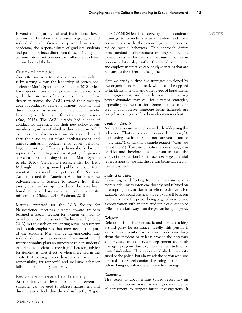Beyond the departmental and institutional level, actions can be taken at the research group/lab and individual levels. Given the power dynamics in academia, the responsibilities of graduate students and postdoc trainees differ from those of faculty and administrators. Yet trainees can influence academic culture beyond the lab.

#### Codes of conduct

One effective way to influence academic culture is by serving within the leadership of professional societies (Marín-Spiotta and Schneider, 2018). Most have opportunities for early-career members to help guide the direction of the society. In a memberdriven initiative, the AGU revised their society's code of conduct to define harassment, bullying, and discrimination as scientific misconduct, thereby becoming a role model for other organizations (Kuo, 2017). The AGU already had a code of conduct for meetings, but their new policy covers members regardless of whether they are at an AGU event or not. Any society members can demand that their society articulate antiharassment and antidiscrimination policies that cover behavior beyond meetings. Effective policies should lay out a process for reporting and investigating allegations as well as for sanctioning violations (Marín-Spiotta et al., 2016). Vanderbilt neuroscientist Dr. Beth McLaughlin has garnered public support from scientists nationwide to petition the National Academies and the American Association for the Advancement of Science to remove from their prestigious membership individuals who have been found guilty of harassment and other scientific misconduct (Oldach, 2018; Wadman, 2018).

Material prepared for the 2013 Society for Neuroscience meetings directed toward trainees featured a special section for women on how to avoid potential harassment (Fischer and Zigmond, 2013), yet research on preventing sexual harassment and assault emphasizes that men need to be part of the solution. Men and gender-nonconforming individuals also experience harassment, and intersectionality plays an important role in students' experiences at scientific meetings. Therefore, advice for students is most effective when presented in the context of existing power dynamics and when the responsibility for respectful and inclusive behavior falls to all community members.

#### Bystander intervention training

At the individual level, bystander intervention strategies can be used to address harassment and discrimination both directly and indirectly. A goal of ADVANCEGeo is to develop and disseminate trainings to provide academic leaders and their communities with the knowledge and tools to reduce hostile behaviors. This approach differs from standard antiharassment training required by some universities for their staff because it focuses on personal relationships rather than legal compliance and employs interactive case-study scenarios that are relevant to the scientific discipline.

Here we briefly outline five strategies developed by the organization Hollaback!, which can be applied to incidents of sexual and other types of harassment, microaggressions, and bias. In academia, existing power dynamics may call for different strategies, depending on the situation. Some of these can be used if you observe someone being harassed, are being harassed yourself, or hear about an incident.

#### *Confront directly*

A direct response can include verbally addressing the behavior ("That is not an appropriate thing to say."), questioning the intent ("I'm not sure you meant to imply that."), or making a simple request ("Can you repeat that?"). The direct confrontation strategy can be risky, and therefore it is important to assess the safety of the situation first and acknowledge potential repercussions to you and the person being targeted by the harassment.

#### *Distract or deflect*

Distracting or deflecting from the harassment is a more subtle way to intervene directly, and is based on interrupting the situation in an effort to defuse it. For example, you could physically insert yourself between the harasser and the person being targeted or interrupt a conversation with an unrelated topic or question to deflect attention away from the person being targeted.

#### *Delegate*

Delegating is an indirect tactic and involves asking a third party for assistance. Ideally, this person is someone in a position with power to do something about the incident or at least provide the necessary support, such as a supervisor, department chair, lab manager, program director, more senior student, or trusted individual. This person could also be a security guard or the police, but always ask the person who was targeted if they feel comfortable going to the police before doing so, unless there is a medical emergency.

#### *Document*

This refers to documenting (video recording) an incident as it occurs, as well as writing down evidence of harassment to support future investigations. If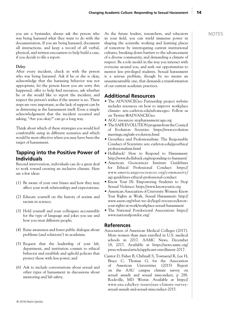© 2018 Marín-Spiotta

you are a bystander, always ask the person who was being harassed what they want to do with the documentation. If you are being harassed, document all interactions, and keep a record of all verbal, physical, and written encounters to help build a case, if you decide to file a report.

#### *Delay*

After every incident, check in with the person who was being harassed. Ask if he or she is okay, acknowledge that the harassing behavior was not appropriate, let the person know you are sorry this happened, offer to help find resources, ask whether he or she would like to report the incident, and respect the person's wishes if the answer is no. These steps are very important, as the lack of support can be as distressing as the harassment itself. Even a simple acknowledgement that the incident occurred and asking, "Are you okay?" can go a long way.

Think about which of these strategies you would feel comfortable using in different scenarios and which would be most effective when you may have been the target of harassment.

#### **Tapping into the Positive Power of Individuals**

Beyond intervention, individuals can do a great deal to work toward creating an inclusive climate. Here are a few ideas:

- (1) Be aware of your own biases and how they may affect your work relationships and expectations;
- (2) Educate yourself on the history of sexism and racism in science;
- (3) Hold yourself and your colleagues accountable for the type of language and jokes you use and how you treat different people;
- (4) Raise awareness and foster public dialogue about problems (and solutions!) in academia;
- (5) Request that the leadership of your lab, department, and institution commit to ethical behavior and establish and uphold policies that protect those with less power; and
- (6) Ask to include conversations about sexual and other types of harassment in discussions about mentoring and lab safety.

As the future leaders, researchers, and educators in your field, you can wield immense power in shaping the scientific working and learning places of tomorrow by interrogating current institutional cultures, breaking down barriers to the advancement of a diverse community, and demanding a climate of respect. Be a role model in the way you interact with everyone around you, and seek out opportunities to mentor less privileged students. Sexual harassment is a serious problem, though by no means an unsurmountable one, that demands a transformation of our current academic practices.

#### **Additional Resources**

- The ADVANCEGeo Partnership project website includes resources on how to improve workplace climate: serc.carleton.edu/advancegeo. Follow us on Twitter @ADVANCEGeo
- AGU resources: stopharassment.agu.org
- The SAFE EVOLUTION program from the Council of Evolution Societies: https://www.evolution meetings.org/safe-evolution.html
- Geoethics and Professionalism: The Responsible Conduct of Scientists: serc.carleton.edu/geoethics/ professionalism.html
- Hollaback! How to Respond to Harassment: http://www.ihollaback.org/responding-to-harassers/
- American Geosciences Institute Guidelines for Ethical Professional Conduct: https:// www.americangeosciences.org/community/ agi-guidelines-ethical-professional-conduct
- Know Your IX: Empowering Students to Stop Sexual Violence: https://www.knowyourix.org
- American Association of University Women: Know Your Rights at Work, Sexual Harassment: http:// www.aauw.org/what-we-do/legal-resources/knowyour-rights-at-work/workplace-sexual-harassment
- The National Postdoctoral Association: https:// www.nationalpostdoc.org/

#### **References**

- Association of American Medical Colleges (2017). More women than men enrolled in U.S. medical schools in 2017. AAMC News, December 18, 2017. Available at https://news.aamc.org/ press-releases/article/applicant-enrollment-2017.
- Cantor D, Fisher B, Chibnall S, Townsend R, Lee H, Bruce C, Thomas G, for the Association of American Universities (2015) Report on the AAU campus climate survey on sexual assault and sexual misconduct, p 288. Rockville, MD: Westat. Available at https:// www.aau.edu/key-issues/aau-climate-surveysexual-assault-and-sexual-misconduct-2015.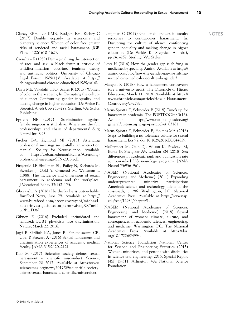- Clancy KBH, Lee KMN, Rodgers EM, Richey C (2017) Double jeopardy in astronomy and planetary science: Women of color face greater risks of gendered and racial harassment. JGR Planets 122:1610–1623.
- Crenshaw K (1989) Demarginalizing the intersection of race and sex: a black feminist critique of antidiscrimination doctrine, feminist theory and antiracist politics. University of Chicago Legal Forum 1989(1):8. Available at https:// chicagounbound.chicago.edu/uclf/vol1989/iss1/8.
- Davis ME, Vakalahi HFO, Scales R (2015) Women of color in the academy, In: Disrupting the culture of silence: Confronting gender inequality and making change in higher education (De Welde K, Stepnick A, eds), pp 265–277. Sterling, VA: Stylus Publishing.
- Epstein NE (2017) Discrimination against female surgeons is still alive: Where are the full professorships and chairs of departments? Surg Neurol Intl 8:93.
- Fischer BA, Zigmond MJ (2013) Attending professional meetings successfully: an instruction manual. Society for Neuroscience. Available at https://web.uri.edu/marbio/files/Attendingprofessional-meetings-SFN-2013.pdf.
- Fitzgerald LF, Shullman SL, Bailey N, Richards M, Swecker J, Gold Y, Ormerod M, Weitzman L (1988) The incidence and dimensions of sexual harassment in academia and the workplace. J Vocational Behav 32:152–175.
- Ghorayshi A (2016) He thinks he is untouchable. BuzzFeed News, June 29. Available at https:// www.buzzfeed.com/azeenghorayshi/michaelkatze-investigation?utm\_term=.dvogXX7m6#. tx9P11D0N.
- Gibney E (2016) Excluded, intimidated and harassed: LGBT physicists face discrimination. Nature, March 22, 2016.
- Jagsi R, Griffith KA, Jones R, Perumalswami CR, Ubel P, Stewart A (2016) Sexual harassment and discrimination experiences of academic medical faculty. JAMA 315:2120–2121.
- Kuo M (2017) Scientific society defines sexual harassment as scientific misconduct. Science, September 20 2017. Available at https://www. sciencemag.org/news/2017/09/scientific-societydefines-sexual-harassment-scientific-misconduct.
- Lampman C (2015) Gender differences in faculty responses to contrapower harassment. In: Disrupting the culture of silence: confronting gender inequality and making change in higher education (De Welde K, Stepnick A, eds.), pp 241–252. Sterling, VA: Stylus.
- Levy H (2016) How the gender gap is shifting in medicine, by specialty. Amino. Available at https:// amino.com/blog/how-the-gender-gap-is-shiftingin-medicine-medical-specialties-by-gender/.
- Mangan K (2018) How a harassment controversy tore a university apart. The Chronicle of Higher Education, March 11, 2018. Available at https:// www.chronicle.com/article/How-a-Harassment-Controversy/242782.
- Marín-Spiotta E, Schneider B (2018) Time's up for harassers in academia. The POSTDOCket 3(16). Available at https://www.nationalpostdoc.org/ general/custom.asp?page=postdocket\_03181.
- Marín-Spiotta E, Schneider B, Holmes MA (2016) Steps to building a no-tolerance culture for sexual harassment. Eos 97: doi:10.1029/2016EO044859.
- McDermott M, Gelb DJ, Wilson K, Pawloski M, Burke JF, Shelgikar AV, London ZN (2018) Sex differences in academic rank and publication rate at top-ranked US neurology programs. JAMA Neurol 75:956–961.
- NASEM (National Academies of Sciences, Engineering, and Medicine) (2011) Expanding underrepresented minority participation: America's science and technology talent at the crossroads, p 286. Washington, DC: National Academies Press. Available at https://www.nap. edu/read/12984/chapter/1.
- NASEM (National Academies of Sciences, Engineering, and Medicine) (2018) Sexual harassment of women: climate, culture, and consequences in academic sciences, engineering, and medicine. Washington, DC: The National Academies Press. Available at https://doi. org/10.17226/24994.
- National Science Foundation National Center for Science and Engineering Statistics (2015) Women, minorities, and persons with disabilities in science and engineering: 2015. Special Report NSF 15-311. Arlington, VA: National Science Foundation.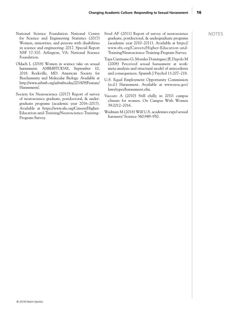- National Science Foundation National Center for Science and Engineering Statistics (2017) Women, minorities, and persons with disabilities in science and engineering: 2017. Special Report NSF 17-310. Arlington, VA: National Science Foundation.
- Oldach L (2018) Women in science take on sexual harassment. ASBMBTODAY, September 10, 2018. Rockville, MD: American Society for Biochemistry and Molecular Biology. Available at http://www.asbmb.org/asbmbtoday/201809/Feature/ Harassment/.
- Society for Neuroscience (2017) Report of survey of neuroscience graduate, postdoctoral, & undergraduate programs (academic year 2016–2017). Available at https://www.sfn.org/Careers/Higher-Education-and-Training/Neuroscience-Training-Program-Survey.
- Sved AF (2011) Report of survey of neuroscience graduate, postdoctoral, & undergraduate programs (academic year 2010–2011). Available at https:// www.sfn.org/Careers/Higher-Education-and-Training/Neuroscience-Training-Program-Survey.
- Topa Cantisano G, Morales Dominguez JF, Depolo M (2008) Perceived sexual harassment at work: meta-analysis and structural model of antecedents and consequences. Spanish J Psychol 11:207–218.
- U.S. Equal Employment Opportunity Commission (n.d.) Harassment. Available at www.eeoc.gov/ laws/types/harassment.cfm.
- Vaccaro A (2010) Still chilly in 2010: campus climate for women. On Campus With Women 39:2012–2016.
- Wadman M (2018) Will U.S. academies expel sexual harassers? Science 360:949–950.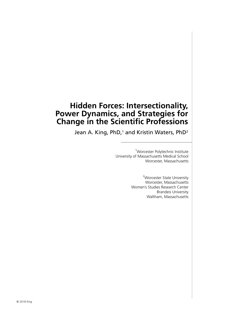## **Hidden Forces: Intersectionality, Power Dynamics, and Strategies for Change in the Scientific Professions**

Jean A. King, PhD,<sup>1</sup> and Kristin Waters, PhD<sup>2</sup>

<sup>1</sup>Worcester Polytechnic Institute University of Massachusetts Medical School Worcester, Massachusetts

> <sup>2</sup>Worcester State University Worcester, Massachusetts Women's Studies Research Center Brandeis University Waltham, Massachusetts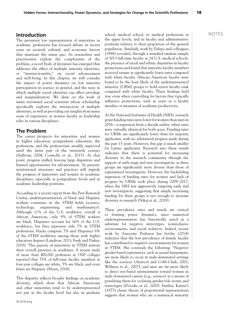### NOTES **Introduction** school, medical school, in medical professions at

The persistent low representation of minorities in academic professions has focused debate in recent years on societal, cultural, and economic factors that maintain the status quo. As researchers and practitioners explore the complexities of the problem, a novel body of literature has emerged that addresses the effect of multiple minority identities, or "intersectionality," on social advancement and well-being. In this chapter, we will consider the impact of power dynamics on low minority participation in science in general, and the ways in which multiple social identities can affect privilege and marginalization. We draw on the work of many renowned social scientists whose scholarship specifically explores the intersection of multiple identities, as well as providing our insights from many years of experience as women faculty in leadership roles in various disciplines.

#### **The Problem**

The career prospects for minorities and women in higher education, postgraduate education, the professions, and the professoriate steadily improved until the latter part of the twentieth century (Sullivan, 2004; Connolly et al., 2015). At that point, progress stalled, leaving large disparities and limited opportunities for advancement. At present, institutional structures and practices still impede the progress of minorities and women in academic disciplines, especially at postgraduate levels and in academic leadership positions.

According to a recent report from the Pew Research Center, underrepresentation of black and Hispanic workers continues in the STEM fields (science, technology, engineering, and mathematics). Although 11% of the U.S. workforce overall is African American, only 9% of STEM workers are black. Hispanics account for 16% of the U.S. workforce, but they represent only 7% in STEM professions; blacks comprise 7% and Hispanics 6% of the STEM workforce among those with higher education degrees (Landivar, 2013; Funk and Parker, 2018). This paucity of minorities in STEM mirrors their overall presence in academia. A recent study of more than 400,000 professors at 1500 colleges reported that 75% of full-time faculty members at four-year colleges are white, 5% are black, and even fewer are Hispanic (Myers, 2016).

This disparity reflects broader findings on academic diversity, which show that African Americans and other minorities tend to be underrepresented not just at the faculty level but also in graduate the upper levels, and in faculty and administrative positions relative to their proportion of the general population. Similarly, work by Palepu and colleagues (1998) revealed, through a stratified random sample of 3013 full-time faculty at 24 U.S. medical schools, the presence of racial and ethnic disparities in faculty promotions and found that minority faculty members received tenure at significantly lower rates compared with white faculty. African American faculty were found to be the least likely of the underrepresented minority (URM) groups to hold senior faculty rank compared with white faculty. These findings held true even when controlling for factors that typically influence promotions, such as years as a faculty member or measures of academic productivity.

At the National Institutes of Health (NIH), research grant funding rates were lower for women than men in 2016—a regression from a decade earlier, when rates were virtually identical for both sexes. Funding rates for URMs are significantly lower than for majority applicants, with no substantial progress made during the past 15 years. However, this gap is much smaller for Latino applicants. Research into these trends indicates that there is potential for increasing diversity in the research community through the support of early-stage and new investigators, as these groups are significantly more diverse than those of experienced investigators. However, the backsliding regression of funding rates for women and lack of progress by URMs took place during 2009–2017, when the NIH was aggressively targeting early and new investigators, suggesting that simply increasing funding for these groups is not enough to increase diversity in research (Nikaj et al., 2018).

These prevalence rates and trends are critical to forming power dynamics, since numerical underrepresentation has historically acted as a substrate for negative stereotypes, noninclusive environments, and social isolation. Indeed, recent work by Associate Professor Isis Settles (2014) indicates that the low prevalence of female faculty has contributed to negative environments for women in STEM. She contends the following: "Negative gender-based experiences, such as sexual harassment, are more likely to occur in male-dominated settings like the sciences (Antecol and Cobb-Clark, 2001; Willness et al., 2007), and men are far more likely to direct sex-based mistreatment toward women in male-dominated careers (e.g., science) as a means of penalizing them for violating gender-role norms and stereotypes (Dovidio et al., 2000). Further, Kanter's (1977) classic theory of proportional representation suggests that women who are a numerical minority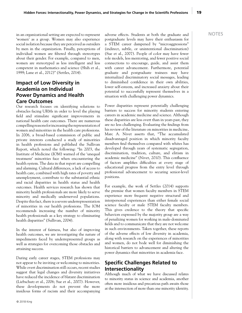19

in an organizational setting are expected to represent adverse effects. Students at both the graduate and NOTES 'women' as a group. Women may also experience social isolation because they are perceived as outsiders by men in the organization. Finally, perceptions of individual women are filtered through stereotypes about their gender. For example, compared to men, women are stereotyped as less intelligent and less competent in mathematics and science (Shih et al., 1999; Lane et al., 2012)" (Settles, 2014).

#### **Impact of Low Diversity in Academia on Individual Power Dynamics and Health Care Outcomes**

Our research focuses on identifying solutions to obstacles facing URMs in order to level the playing field and stimulate significant improvements in national health care outcomes. There are numerous compelling reasons for increasing the representation of women and minorities in the health care professions. In 2006, a broad-based commission of public and private interests conducted a study of minorities in health professions and published the Sullivan Report, which noted the following: "In 2003, the Institute of Medicine (IOM) warned of the 'unequal treatment' minorities face when encountering the health system. The data in that report are compelling and alarming. Cultural differences, a lack of access to health care, combined with high rates of poverty and unemployment, contribute to the substantial ethnic and racial disparities in health status and health outcomes. Health services research has shown that minority health professionals are more likely to serve minority and medically underserved populations. Despite this fact, there is a severe underrepresentation of minorities in our health professions. The IOM recommends increasing the number of minority health professionals as a key strategy to eliminating health disparities" (Sullivan, 2004).

In the interest of fairness, but also of improving health outcomes, we are investigating the nature of impediments faced by underrepresented groups as well as strategies for overcoming those obstacles and attaining success.

During early career stages, STEM professions may not appear to be inviting or welcoming to minorities. While overt discrimination still occurs, recent studies suggest that legal changes and diversity initiatives have reduced the incidence of blatant discrimination (Liebschutz et al., 2006; Sue et al., 2007). However, these developments do not prevent the more insidious forms of racism and their accompanying postgraduate levels may have their enthusiasm for a STEM career dampened by "microaggressions" (indirect, subtle, or unintentional discrimination) (Sue et al., 2007). People of color may have fewer role models, less mentoring, and fewer positive social connections to encourage, guide, and assist them with career advancement. Furthermore, potential graduate and postgraduate trainees may have internalized discriminatory social messages, leading to diminished confidence in their own abilities, lower self-esteem, and increased anxiety about their potential to successfully represent themselves in a situation with challenging power dynamics.

Power disparities represent potentially challenging barriers to success for minority students entering careers in academic medicine and science. Although these disparities are less overt than in years past, they are no less challenging. Evaluating the findings from his review of the literature on minorities in medicine, Marc A. Nivet asserts that, "The accumulated disadvantaged position in which minority faculty members find themselves compared with whites has developed through years of systematic segregation, discrimination, tradition, culture, and elitism in academic medicine" (Nivet, 2010). This confluence of factors amplifies difficulties at every stage of educational progress from the entry level through professional advancement to securing senior-level positions.

For example, the work of Settles (2014) supports the premise that women faculty members in STEM experience more frequent negative structural and interpersonal experiences than either female social science faculty or male STEM faculty members. This gives credence to the theory that specific behaviors expressed by the majority group are a way of penalizing women for working in male-dominated fields and to communicate that they are not welcome in such environments. Taken together, these reports of the adverse effects of low diversity in academia, along with research on the experiences of minorities and women, do not bode well for diminishing the historical barriers to advancement and altering the power dynamics that minorities in academia face.

### **Specific Challenges Related to Intersectionality**

Although much of what we have discussed relates to minority status in science and academia, another often more insidious and precarious path awaits those at the intersection of more than one minority identity.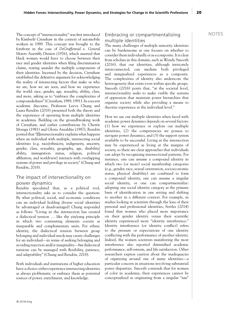The concept of "intersectionality" was first introduced Embracing or compartmentalizing NOTES by Kimberlé Crenshaw in the context of automobile workers in 1989. This concept was brought to the forefront in the case of *DeGraffenreid v. General Motors Assembly Division* (1976), which asserted that black women would have to choose between their race and gender identities when filing discrimination claims, tearing asunder the multiple components of their identities. Incensed by the decision, Crenshaw established the definitive argument for acknowledging the reality of intersecting factors that make us who we are, how we are seen, and how we experience the world: race, gender, age, sexuality, ability, class, and more, asking us to "embrace the complexities of compoundedness" (Crenshaw, 1989, 1991). In a recent academic discourse, Professors Leeva Chung and Laura Rendón (2018) presented both the theory and the experience of operating from multiple identities in academia. Building on the groundbreaking work of Crenshaw, and earlier contributions by Cherríe Moraga (1981) and Gloria Anzaldúa (1987), Rendón posited that "[I]ntersectionality explains what happens when an individual with multiple, intersecting social identities (e.g. race/ethnicity, indigeneity, ancestry, gender, class, sexuality, geography, age, disability/ ability, immigration status, religion, political affiliation, and worldview) interacts with overlapping systems of power and privilege in society" (Chung and Rendón, 2018).

#### The impact of intersectionality on power dynamics

Rendón speculated that, as a political tool, intersectionality asks us to consider the question: By what political, social, and economic conditions can an individual holding diverse social identities be advantaged or disadvantaged? Chung responded as follows: "Living in the intersection has created a dialectical tension … like the yin/yang principle in which two contrasting elements coexist as inseparable and complementary units. For ethnic identity, the dialectical tension between group belonging and individual needs may create challenges for an individual—in terms of seeking belonging and avoiding rejection and/or marginality—*but* dialectical tensions can be managed with flexibility, patience, and adaptability" (Chung and Rendón, 2018).

Both individuals and institutions of higher education have a choice: either experience intersecting identities as always problematic or embrace them as potential sources of power, enrichment, and knowledge.

#### Embracing or compartmentalizing multiple identities

The many challenges of multiple minority identities can be burdensome as one focuses on whether to consider them individually or as a composite. It is clear from scholars in this domain, such as Wendy Smooth (2016), that our identities, although intricately interconnected, can mediate both privileged and marginalized experiences as a composite. The complexities of identity also underscore the heterogeneity that exists even within specific groups. Smooth (2016) posits that, "at the societal level, intersectionality seeks to make visible the systems of oppression that maintain power hierarchies that organize society while also providing a means to theorize experience at the individual level."

How we use our multiple identities when faced with academic power dynamics depends on several factors: (1) how we experience or explore our multiple identities, (2) the competencies we possess to navigate power dynamics, and (3) the support system available to be successful. Living at the intersection may be experienced as living at the margins of society, so there are clear approaches that individuals can adopt by recognizing intersectional patterns. For instance, one can assume a compound identity in which two (or more) social membership categories (e.g., gender, race, sexual orientation, socioeconomic status, physical disability) are combined to form a compound identity, one can assume a singular social identity, or one can compartmentalize: adopting one social identity category as the primary basis of identification in one setting and shifting to another in a different context. For example, in studies looking at scientists through the lens of their personal and professional identities, Settles (2014) found that women who placed more importance on their gender identity versus their scientific identity experienced more "identity interference." Identity interference (or identity conflict) refers to the pressure or expectations of one identity conflicting with the performance of another identity. Indeed, the women scientists manifesting the most interference also reported diminished academic performance, self-esteem, and life satisfaction. Other researchers express caution about the inadequacies of organizing around one of many identities—a particular concern in situations involving substantial power disparities. Smooth contends that for women of color in academia, their experiences cannot be conceptualized as originating from a singular "ism"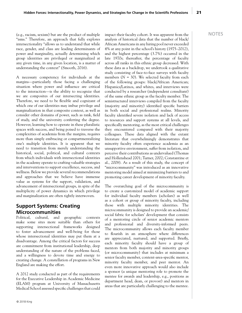(e.g., racism, sexism) but are the product of multiple impact their faculty cohort. It was apparent from the  $\sim$  NOTES "isms." Therefore, an approach that fully explores intersectionality "allows us to understand that while race, gender, and class are leading determinants of power and marginality, actually determining which group identities are privileged or marginalized at any given time, in any given location, is a matter of understanding the context" (Smooth, 2016).

A necessary competency for individuals at the margins—particularly those facing a challenging situation where power and influence are critical to the interaction—is the ability to recognize that we are composites of our intersecting identities. Therefore, we need to be flexible and cognizant of which one of our identities may imbue privilege and marginalization in that composite context, as well as consider other domains of power, such as rank, field of study, and the university conferring the degree. However, learning how to operate in these pluralistic spaces with success, and being poised to traverse the complexities of academia from the margins, requires more than simply embracing or compartmentalizing one's multiple identities. It is apparent that we need to transition from merely understanding the historical, social, political, and cultural contexts from which individuals with intersectional identities in the academy operate to crafting valuable strategies and interventions to support excellence, success, and wellness. Below we provide several recommendations and approaches that we believe have immense value as systems for the support, validation, and advancement of intersectional groups, in spite of the multiplicity of power dynamics in which privilege and marginalization are often tightly interwoven.

### **Support Systems: Creating Microcommunities**

Political, cultural, and geographic contexts make some sites more suitable than others for supporting intersectional frameworks designed to foster advancement and well-being for those whose intersectional identities may put them at a disadvantage. Among the critical factors for success are commitment from institutional leadership, deep understanding of the nature of the problems faced, and a willingness to devote time and energy to creating change. A constellation of programs in New England are making the effort.

A 2012 study conducted as part of the requirements for the Executive Leadership in Academic Medicine (ELAM) program at University of Massachusetts Medical School assessed specific challenges that could analysis of historical data that the number of black/ African Americans in any hiring pool never exceeded 4% at any point in the school's history (1975–2012), and the highest percentage (3.7%) occurred in the late 1970s; thereafter, the percentage of faculty across all ranks in this ethnic group decreased. With these data as a backdrop, we undertook a qualitative study consisting of face-to-face surveys with faculty members  $(N = 30)$ . We selected faculty from each of the following groups: black/African American; Hispanics/Latinos, and whites, and interviews were conducted by a researcher (independent consultant) of the same ethnic group as the faculty member. The semistructured interviews compiled from the faculty (majority and minority) identified specific barriers in both social and professional realms. Minority faculty identified severe isolation and lack of access to resources and support systems at all levels, and specifically mentoring, as the most critical challenges they encountered compared with their majority colleagues. These data aligned with the extant literature that overwhelmingly demonstrates that minority faculty often experience academia as an unsupportive environment, suffer from isolation, and perceive their contributions as undervalued (Thomas and Hollenshead 2001; Turner, 2002; Constantine et al., 2008). As a result of this study, the concept of "microcommunity" was introduced as an innovative mentoring model aimed at minimizing barriers to and promoting career development of minority faculty.

The overarching goal of the microcommunity is to create a customized model of academic support for individual faculty members (scholars) as well as a cohort or group of minority faculty, including those with multiple minority identities. The microcommunity is designed to provide an academic/ social fabric for scholars' development that consists of a mentoring circle of senior academic mentors and professional and diversity-informed peers. The microcommunity allows each faculty member to flourish in an atmosphere where differences are appreciated, nurtured, and supported. Briefly, each minority faculty should have a group of mentors from both majority and minority groups (or microcommunity) that includes at minimum a senior faculty member, content-area-specific mentor, minority faculty member, and peer mentor. An even more innovative approach would also include a sponsor (a unique mentoring role to promote the mentee for awards and leadership, e.g., positions as department head, dean, or provost) and mentors in areas that are particularly challenging to the mentee.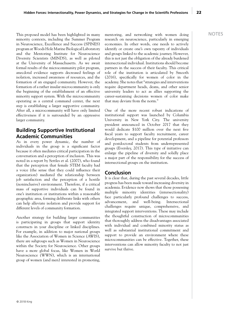This proposed model has been highlighted in many mentoring, and networking with women doing NOTES minority contexts, including the Summer Program in Neuroscience, Excellence and Success (SPINES) program at Woods Hole Marine Biological Laboratory and the Mentoring Institute for Neuroscience Diversity Scientists (MINDS), as well as piloted at the University of Massachusetts. As we await formal results of the microcommunity pilot program, anecdotal evidence supports decreased feelings of isolation, increased awareness of resources, and the formation of an engaged community. However, the formation of a rather insular microcommunity is only the beginning of the establishment of an effective minority support system. With the microcommunity operating as a central command center, the next step is establishing a larger supportive community. After all, a microcommunity will have only limited effectiveness if it is surrounded by an oppressive larger community.

#### **Building Supportive Institutional Academic Communities**

As in every power dynamic, the number of individuals in the group is a significant factor because it often mediates critical participation in the conversation and a perception of inclusion. This was noted in a report by Settles et al. (2007), who found that the perception that female STEM faculty had a voice (the sense that they could influence their organization) mediated the relationship between job satisfaction and the perception of a hostile (noninclusive) environment. Therefore, if a critical mass of supportive individuals can be found in one's institution or institutions within a reasonable geographic area, forming deliberate links with others can help alleviate isolation and provide support for different levels of community formation.

Another strategy for building larger communities is participating in groups that support identity constructs in your discipline or linked disciplines. For example, in addition to major national groups like the Association of Women in Science (AWIS), there are subgroups such as Women in Neuroscience within the Society for Neuroscience. Other groups have a more global focus, like Women in World Neuroscience (WWN), which is an international group of women (and men) interested in promoting,

research on neuroscience, particularly in emerging economies. In other words, one needs to actively identify or create one's own tapestry of individuals and groups linked to the academic journey. However, this is not just the obligation of the already burdened intersectional individual. Institutions should become partners in the success of their faculty. This critical role of the institution is articulated by Smooth (2016), specifically for women of color in the academy. She notes that "strategies and interventions require department heads, deans, and other senior university leaders to act as allies supporting the career-sustaining decisions women of color make that may deviate from the norm."

One of the more recent robust indications of institutional support was launched by Columbia University in New York City. The university president announced in October 2017 that they would dedicate \$100 million over the next five fiscal years to support faculty recruitment, career development, and a pipeline for potential professors and postdoctoral students from underrepresented groups (Eversley, 2017). This type of initiative can enlarge the pipeline of diversity and solidly place a major part of the responsibility for the success of intersectional groups on the institution.

#### **Conclusion**

It is clear that, during the past several decades, little progress has been made toward increasing diversity in academia. Evidence now shows that those possessing multiple minority identities (intersectionality) face particularly profound challenges to success, advancement, and well-being. Intersectional challenges require unique, comprehensive, and integrated support interventions. These may include the thoughtful construction of microcommunities that thoroughly address the disadvantages associated with individual and combined minority status as well as substantial institutional commitment and support to provide an environment where these microcommunities can be effective. Together, these interventions can allow minority faculty to not just survive but thrive.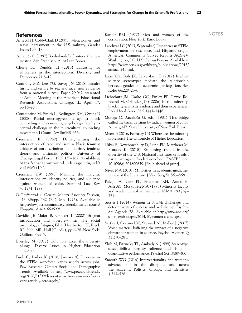- Antecol H, Cobb-Clark D (2001). Men, women, and sexual harassment in the U.S. military. Gender Issues 19:3–18.
- Anzaldúa G (1987) Borderlands/la frontera: the new mestiza. San Francisco: Aunt Lute Books.
- Chung LC, Rendón LI (2018) Educating for wholeness in the intersections. Diversity and Democracy 21:8–12.
- Connolly MR, Lee YG, Savoy JN (2015) Faculty hiring and tenure by sex and race: new evidence from a national survey. Paper 29.042 presented at Annual Meeting of the American Educational Research Association, Chicago, IL, April 17, pp 16–20.
- Constantine M, Smith L, Redington RM, Owens D (2008) Racial microaggressions against black counseling and counseling psychology faculty: a central challenge in the multicultural counseling movement. J Couns Dev 86:348–355.
- Crenshaw K (1989) Demarginalizing the intersection of race and sex: a black feminist critique of antidiscrimination doctrine, feminist theory and antiracist politics. University of Chicago Legal Forum 1989:139–167. Available at https://chicagounbound.uchicago.edu/uclf/ vol1989/iss1/8/.
- Crenshaw KW (1991) Mapping the margins: intersectionality, identity politics, and violence against women of color. Stanford Law Rev 43:1241–1299.
- *DeGraffenreid v. General Motors Assembly Division*, 413 F.Supp. 142 (E.D. Mo. 1976). Available at https://law.justia.com/cases/federal/district-courts/ FSupp/413/142/1660699/.
- Dovidio JF, Major B, Crocker J (2000) Stigma: introduction and overview. In: The social psychology of stigma, Ed 1 (Heatherton TF, Kleck RE, Hebl MR, Hull JG, eds.), pp 1–28. New York: Guilford Press 7.
- Eversley M (2017) Columbia takes the diversity plunge. Diverse Issues in Higher Education 34:20–23.
- Funk C, Parker K (2018, January 9) Diversity in the STEM workforce varies widely across jobs. Pew Research Center: Social and Demographic Trends. Available at http://www.pewsocialtrends. org/2018/01/09/diversity-in-the-stem-workforcevaries-widely-across-jobs/.

**References** NOTES Kanter RM (1977) Men and women of the corporation. New York: Basic Books

- Landivar LC (2013, September) Disparities in STEM employment by sex, race, and Hispanic origin. American Community Survey Reports ACS-24. Washington, DC: U.S. Census Bureau. Available at https://www.census.gov/library/publications/2013/ acs/acs-24.html.
- Lane KA, Goh JX, Driver-Linn E (2012) Implicit science stereotypes mediate the relationship between gender and academic participation. Sex Roles 66:220–234.
- Liebschutz JM, Darko GO, Finley EP, Cawse JM, Bharel M, Orlander JD ( 2006) In the minority: black physicians in residency and their experiences. J Natl Med Assoc 96:9:1441–1448.
- Moraga C, Anzaldúa G, eds. (1981) This bridge called my back: writings by radical women of color. Albany, NY: State University of New York Press.
- Myers B (2016, February 14) Where are the minority professors? The Chronicle of Higher Education.
- Nikaj S, Roychowdhury D, Lund PK, Matthews M, Pearson K (2018) Examining trends in the diversity of the U.S. National Institutes of Health participating and funded workforce. FASEB J. doi: 10.1096/fj.201800639. [Epub ahead of print]
- Nivet MA (2010) Minorities in academic medicine: review of the literature. J Vasc Surg 51:S53–S58.
- Palepu A, Carr PL, Friedman RH, Amos H, Ash AS, Moskowitz MA (1998) Minority faculty and academic rank in medicine. JAMA 280:767– 771.
- Settles I (2014) Women in STEM: challenges and determinants of success and well-being. Psychol Sci Agenda 28. Available at http://www.apa.org/ science/about/psa/2014/10/women-stem.aspx.
- Settles I, Cortina LM, Steward AJ, Malley J (2007) Voice matters: buffering the impact of a negative climate for women in science. Psychol Women Q 31:270–281.
- Shih M, Pittinsky TL, Ambady N (1999) Stereotype susceptibility: identity salience and shifts in quantitative performance. Psychol Sci 10:80–83.
- Smooth WG (2016) Intersectionality and women's advancement in the discipline and across the academy. Politics, Groups, and Identities 4:513–528.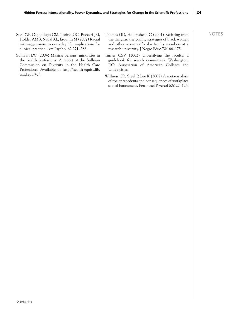- Sue DW, Capodilupo CM, Torino GC, Bucceri JM, Thomas GD, Hollenshead C (2001) Resisting from NOTES Holder AMB, Nadal KL, Esquilin M (2007) Racial microaggressions in everyday life: implications for clinical practice. Am Psychol 62:271–286.
- Sullivan LW (2004) Missing persons: minorities in the health professions. A report of the Sullivan Commission on Diversity in the Health Care Professions. Available at http://health-equity.lib. umd.edu/40/.
- the margins: the coping strategies of black women and other women of color faculty members at a research university. J Negro Educ 70:166–175.
- Turner CSV (2002) Diversifying the faculty: a guidebook for search committees. Washington, DC: Association of American Colleges and Universities.
- Willness CR, Steel P, Lee K (2007) A meta-analysis of the antecedents and consequences of workplace sexual harassment. Personnel Psychol 60:127–124.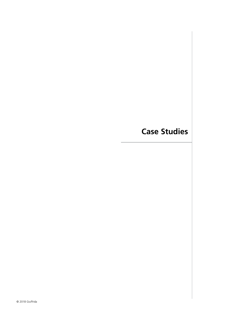## **Case Studies**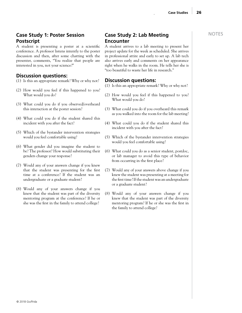### **Case Study 1: Poster Session Postscript**

A student is presenting a poster at a scientific conference. A professor listens intently to the poster discussion and then, after some chatting with the presenter, comments, "You realize that people are interested in you, not your science?"

#### **Discussion questions:**

- (1) Is this an appropriate remark? Why or why not?
- (2) How would you feel if this happened to you? What would you do?
- (3) What could you do if you observed/overheard this interaction at the poster session?
- (4) What could you do if the student shared this incident with you after the fact?
- (5) Which of the bystander intervention strategies would you feel comfortable using?
- (6) What gender did you imagine the student to be? The professor? How would substituting their genders change your response?
- (7) Would any of your answers change if you knew that the student was presenting for the first time at a conference? If the student was an undergraduate or a graduate student?
- (8) Would any of your answers change if you knew that the student was part of the diversity mentoring program at the conference? If he or she was the first in the family to attend college?

### **Case Study 2: Lab Meeting Encounter**

A student arrives to a lab meeting to present her project update for the week as scheduled. She arrives in professional attire and early to set up. A lab tech also arrives early and comments on her appearance right when he walks in the room. He tells her she is "too beautiful to waste her life in research."

#### **Discussion questions:**

- (1) Is this an appropriate remark? Why or why not?
- (2) How would you feel if this happened to you? What would you do?
- (3) What could you do if you overheard this remark as you walked into the room for the lab meeting?
- (4) What could you do if the student shared this incident with you after the fact?
- (5) Which of the bystander intervention strategies would you feel comfortable using?
- (6) What could you do as a senior student, postdoc, or lab manager to avoid this type of behavior from occurring in the first place?
- (7) Would any of your answers above change if you knew the student was presenting at a meeting for the first time? If the student was an undergraduate or a graduate student?
- (8) Would any of your answers change if you knew that the student was part of the diversity mentoring program? If he or she was the first in the family to attend college?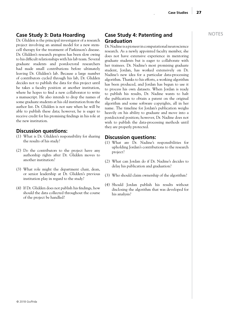#### **Case Study 3: Data Hoarding**

Dr. Glidden is the principal investigator of a research project involving an animal model for a new stemcell therapy for the treatment of Parkinson's disease. Dr. Glidden's research progress has been slow owing to his difficult relationships with his lab team. Several graduate students and postdoctoral researchers had made small contributions before ultimately leaving Dr. Glidden's lab. Because a large number of contributors cycled through his lab, Dr. Glidden decides not to publish the data for this project until he takes a faculty position at another institution, where he hopes to find a new collaborator to write a manuscript. He also intends to drop the names of some graduate students at his old institution from the author list. Dr. Glidden is not sure when he will be able to publish these data; however, he is eager to receive credit for his promising findings in his role at the new institution.

#### **Discussion questions:**

- (1) What is Dr. Glidden's responsibility for sharing the results of his study?
- (2) Do the contributors to the project have any authorship rights after Dr. Glidden moves to another institution?
- (3) What role might the department chair, dean, or senior leadership at Dr. Glidden's previous institution play in regard to the study?
- (4) If Dr. Glidden does not publish his findings, how should the data collected throughout the course of the project be handled?

#### **Case Study 4: Patenting and Graduation**

Dr. Nadine is a pioneer in computational neuroscience research. As a newly appointed faculty member, she does not have extensive experience in mentoring graduate students but is eager to collaborate with her trainees. Dr. Nadine's most promising graduate student, Jordan, has worked extensively on Dr. Nadine's new idea for a particular data-processing algorithm. Thanks to his efforts, a working algorithm has been produced, and Jordan has begun to use it to process his own datasets. When Jordan is ready to publish his results, Dr. Nadine wants to halt the publication to obtain a patent on the original algorithm and some software copyrights, all in her name. The timeline for Jordan's publication weighs heavily on his ability to graduate and move into a postdoctoral position; however, Dr. Nadine does not wish to publish the data-processing methods until they are properly protected.

#### **Discussion questions:**

- (1) What are Dr. Nadine's responsibilities for upholding Jordan's contributions to the research project?
- (2) What can Jordan do if Dr. Nadine's decides to delay his publication and graduation?
- (3) Who should claim ownership of the algorithm?
- (4) Should Jordan publish his results without disclosing the algorithm that was developed for his analysis?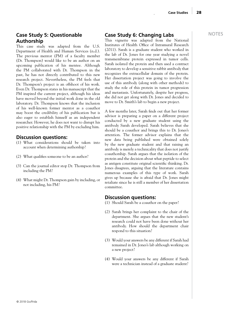#### **Case Study 5: Questionable Authorship**

This case study was adapted from the U.S. Department of Health and Human Services (n.d.). The previous mentor (PM) of a faculty member (Dr. Thompson) would like to be an author on an upcoming publication of his mentee. Although the PM collaborated with Dr. Thompson in the past, he has not directly contributed to this new research project. Nevertheless, the PM feels that Dr. Thompson's project is an offshoot of his work. Even Dr. Thompson states in his manuscript that the PM inspired the current project, although his ideas have moved beyond the initial work done in the old laboratory. Dr. Thompson knows that the inclusion of his well-known former mentor as a coauthor may boost the credibility of his publication but is also eager to establish himself as an independent researcher. However, he does not want to disrupt his positive relationship with the PM by excluding him.

#### **Discussion questions:**

- (1) What considerations should be taken into account when determining authorship?
- (2) What qualifies someone to be an author?
- (3) Can the journal editor stop Dr. Thompson from including the PM?
- (4) What might Dr. Thompson gain by including, or not including, his PM?

#### **Case Study 6: Changing Labs**

This vignette was adapted from the National Institutes of Health Office of Intramural Research (2011). Sarah is a graduate student who worked in the lab of Dr. Jones for one year studying a novel transmembrane protein expressed in tumor cells. Sarah isolated the protein and then used a contract laboratory to develop a sensitive rabbit antibody that recognizes the extracellular domain of the protein. Her dissertation project was going to involve the use of this antibody (along with other methods) to study the role of this protein in tumor progression and metastasis. Unfortunately, despite her progress, she did not get along with Dr. Jones and decided to move to Dr. Smith's lab to begin a new project.

A few months later, Sarah finds out that her former advisor is preparing a paper on a different project conducted by a new graduate student using the antibody Sarah developed. Sarah believes that she should be a coauthor and brings this to Dr. Jones's attention. The former advisor explains that the new data being published were obtained solely by the new graduate student and that raising an antibody is merely a technicality that does not justify coauthorship. Sarah argues that the isolation of the protein and the decision about what peptide to select as antigen constitute original scientific thinking. Dr. Jones disagrees, arguing that the literature contains numerous examples of this type of work. Sarah gives up because she is afraid that Dr. Jones might retaliate since he is still a member of her dissertation committee.

#### **Discussion questions:**

- (1) Should Sarah be a coauthor on the paper?
- (2) Sarah brings her complaint to the chair of the department. She argues that the new student's research could not have been done without her antibody. How should the department chair respond to this situation?
- (3) Would your answers be any different if Sarah had remained in Dr. Jones's lab although working on a new project?
- (4) Would your answers be any different if Sarah were a technician instead of a graduate student?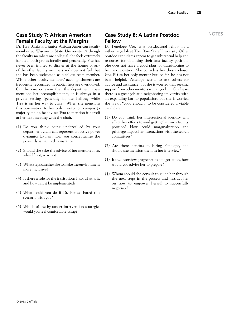#### **Case Study 7: African American Female Faculty at the Margins**

Dr. Tyra Banks is a junior African American faculty member at Wisconsin State University. Although the faculty members are collegial, she feels extremely isolated, both professionally and personally. She has never been invited to dinner at the homes of any of the other faculty members and does not feel that she has been welcomed as a fellow team member. While other faculty members' accomplishments are frequently recognized in public, hers are overlooked. On the rare occasion that the department chair mentions her accomplishments, it is always in a private setting (generally in the hallway while Tyra is on her way to class). When she mentions this observation to her only mentor on campus (a majority male), he advises Tyra to mention it herself at her next meeting with the chair.

- (1) Do you think being undervalued by your department chair can represent an active power dynamic? Explain how you conceptualize the power dynamic in this instance.
- (2) Should she take the advice of her mentor? If so, why? If not, why not?
- (3) What steps can she take to make the environment more inclusive?
- (4) Is there a role for the institution? If so, what is it, and how can it be implemented?
- (5) What could you do if Dr. Banks shared this scenario with you?
- (6) Which of the bystander intervention strategies would you feel comfortable using?

#### **Case Study 8: A Latina Postdoc Fellow**

Dr. Penelope Cruz is a postdoctoral fellow in a rather large lab at The Ohio State University. Other postdoc candidates appear to get substantial help and resources for obtaining their first faculty position. She does not have a good plan for transitioning to her next position. She considers her thesis advisor (the PI) as her only mentor but, so far, he has not been helpful. Penelope wants to ask others for advice and assistance, but she is worried that seeking support from other mentors will anger him. She hears there is a great job at a neighboring university with an expanding Latino population, but she is worried she is not "good enough" to be considered a viable candidate.

- (1) Do you think her intersectional identity will affect her efforts toward getting her own faculty position? How could marginalization and privilege impact her interactions with the search committees?
- (2) Are there benefits to hiring Penelope, and should she mention them in her interview?
- (3) If the interview progresses to a negotiation, how would you advise her to prepare?
- (4) Whom should she consult to guide her through the next steps in the process and instruct her on how to empower herself to successfully negotiate?